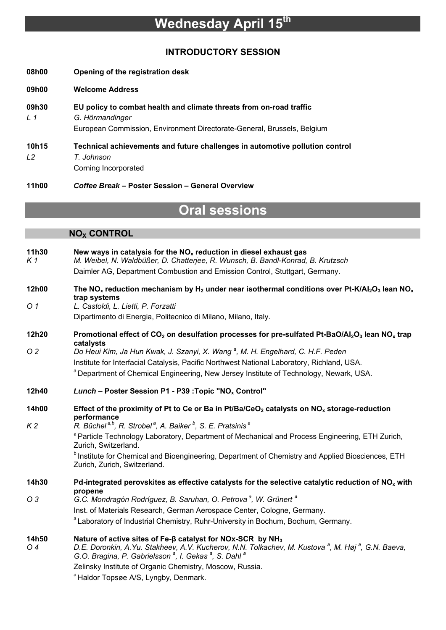# **Wednesday April 15th**

### **INTRODUCTORY SESSION**

- **08h00 Opening of the registration desk**
- **09h00 Welcome Address**
- **09h30 EU policy to combat health and climate threats from on-road traffic**  *L 1 G. Hörmandinger*  European Commission, Environment Directorate-General, Brussels, Belgium
- **10h15 Technical achievements and future challenges in automotive pollution control**  *L2 T. Johnson*  Corning Incorporated

**11h00** *Coffee Break* **– Poster Session – General Overview** 

# **Oral sessions**

#### **NO<sub>x</sub> CONTROL**

| 11h30<br>K1    | New ways in catalysis for the $NOx$ reduction in diesel exhaust gas<br>M. Weibel, N. Waldbüßer, D. Chatterjee, R. Wunsch, B. Bandl-Konrad, B. Krutzsch                                                                |
|----------------|-----------------------------------------------------------------------------------------------------------------------------------------------------------------------------------------------------------------------|
|                | Daimler AG, Department Combustion and Emission Control, Stuttgart, Germany.                                                                                                                                           |
| 12h00          | The NO <sub>x</sub> reduction mechanism by H <sub>2</sub> under near isothermal conditions over Pt-K/AI <sub>2</sub> O <sub>3</sub> lean NO <sub>x</sub><br>trap systems                                              |
| O <sub>1</sub> | L. Castoldi, L. Lietti, P. Forzatti                                                                                                                                                                                   |
|                | Dipartimento di Energia, Politecnico di Milano, Milano, Italy.                                                                                                                                                        |
| 12h20          | Promotional effect of $CO2$ on desulfation processes for pre-sulfated Pt-BaO/Al <sub>2</sub> O <sub>3</sub> lean NO <sub>x</sub> trap<br>catalysts                                                                    |
| O <sub>2</sub> | Do Heui Kim, Ja Hun Kwak, J. Szanyi, X. Wang <sup>a</sup> , M. H. Engelhard, C. H.F. Peden                                                                                                                            |
|                | Institute for Interfacial Catalysis, Pacific Northwest National Laboratory, Richland, USA.                                                                                                                            |
|                | a Department of Chemical Engineering, New Jersey Institute of Technology, Newark, USA.                                                                                                                                |
| 12h40          | Lunch - Poster Session P1 - P39 : Topic "NO <sub>x</sub> Control"                                                                                                                                                     |
| 14h00          | Effect of the proximity of Pt to Ce or Ba in Pt/Ba/CeO <sub>2</sub> catalysts on NO <sub>x</sub> storage-reduction<br>performance                                                                                     |
| K <sub>2</sub> | R. Büchel <sup>a,b</sup> , R. Strobel <sup>a</sup> , A. Baiker <sup>b</sup> , S. E. Pratsinis <sup>a</sup>                                                                                                            |
|                | <sup>a</sup> Particle Technology Laboratory, Department of Mechanical and Process Engineering, ETH Zurich,<br>Zurich, Switzerland.                                                                                    |
|                | <sup>b</sup> Institute for Chemical and Bioengineering, Department of Chemistry and Applied Biosciences, ETH<br>Zurich, Zurich, Switzerland.                                                                          |
| 14h30          | Pd-integrated perovskites as effective catalysts for the selective catalytic reduction of $NO_x$ with<br>propene                                                                                                      |
| O <sub>3</sub> | G.C. Mondragón Rodríguez, B. Saruhan, O. Petrova <sup>a</sup> , W. Grünert <sup>a</sup>                                                                                                                               |
|                | Inst. of Materials Research, German Aerospace Center, Cologne, Germany.                                                                                                                                               |
|                | <sup>a</sup> Laboratory of Industrial Chemistry, Ruhr-University in Bochum, Bochum, Germany.                                                                                                                          |
| 14h50          | Nature of active sites of Fe-β catalyst for NOx-SCR by NH <sub>3</sub>                                                                                                                                                |
| O 4            | D.E. Doronkin, A.Yu. Stakheev, A.V. Kucherov, N.N. Tolkachev, M. Kustova <sup>a</sup> , M. Høj <sup>a</sup> , G.N. Baeva,<br>G.O. Bragina, P. Gabrielsson <sup>a</sup> , I. Gekas <sup>a</sup> , S. Dahl <sup>a</sup> |
|                | Zelinsky Institute of Organic Chemistry, Moscow, Russia.                                                                                                                                                              |
|                | <sup>a</sup> Haldor Topsøe A/S, Lyngby, Denmark.                                                                                                                                                                      |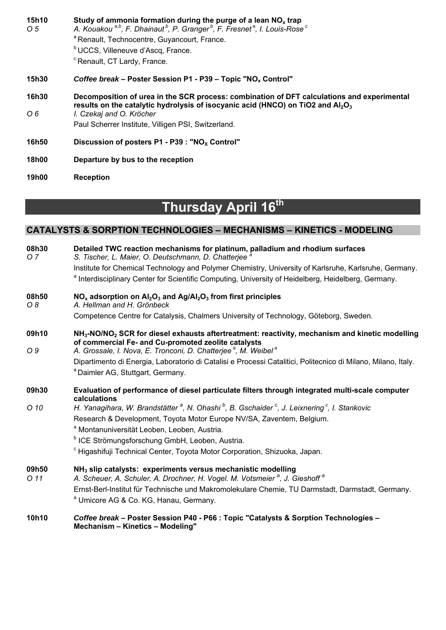| 15h10<br>O 5 | Study of ammonia formation during the purge of a lean $NOx$ trap<br>A. Kouakou <sup>a,b</sup> , F. Dhainaut <sup>b</sup> , P. Granger <sup>b</sup> , F. Fresnet <sup>a</sup> , I. Louis-Rose <sup>c</sup> |
|--------------|-----------------------------------------------------------------------------------------------------------------------------------------------------------------------------------------------------------|
|              | <sup>a</sup> Renault, Technocentre, Guyancourt, France.                                                                                                                                                   |
|              | <sup>b</sup> UCCS, Villeneuve d'Ascq, France.                                                                                                                                                             |
|              | <sup>c</sup> Renault, CT Lardy, France.                                                                                                                                                                   |
| <b>15h30</b> | Coffee break – Poster Session P1 - P39 – Topic "NO <sub>x</sub> Control"                                                                                                                                  |
| 16h30        | Decomposition of urea in the SCR process: combination of DFT calculations and experimental<br>results on the catalytic hydrolysis of isocyanic acid (HNCO) on TiO2 and $Al_2O_3$                          |
| O 6          | I. Czekaj and O. Kröcher                                                                                                                                                                                  |
|              | Paul Scherrer Institute, Villigen PSI, Switzerland.                                                                                                                                                       |
| <b>16h50</b> | Discussion of posters $P1 - P39$ : "NO <sub>x</sub> Control"                                                                                                                                              |
| 18h00        | Departure by bus to the reception                                                                                                                                                                         |
| <b>19h00</b> | <b>Reception</b>                                                                                                                                                                                          |

# **Thursday April 16th**

### **CATALYSTS & SORPTION TECHNOLOGIES – MECHANISMS – KINETICS - MODELING**

| 08h30<br>O 7   | Detailed TWC reaction mechanisms for platinum, palladium and rhodium surfaces<br>S. Tischer, L. Maier, O. Deutschmann, D. Chatterjee <sup>6</sup>                                                                                                              |
|----------------|----------------------------------------------------------------------------------------------------------------------------------------------------------------------------------------------------------------------------------------------------------------|
|                | Institute for Chemical Technology and Polymer Chemistry, University of Karlsruhe, Karlsruhe, Germany.                                                                                                                                                          |
|                | <sup>a</sup> Interdisciplinary Center for Scientific Computing, University of Heidelberg, Heidelberg, Germany.                                                                                                                                                 |
| 08h50<br>$O_8$ | $NOx$ adsorption on $Al2O3$ and $Ag/Al2O3$ from first principles<br>A. Hellman and H. Grönbeck                                                                                                                                                                 |
|                | Competence Centre for Catalysis, Chalmers University of Technology, Göteborg, Sweden.                                                                                                                                                                          |
| 09h10<br>O 9   | $NH3$ -NO/NO <sub>2</sub> SCR for diesel exhausts aftertreatment: reactivity, mechanism and kinetic modelling<br>of commercial Fe- and Cu-promoted zeolite catalysts<br>A. Grossale, I. Nova, E. Tronconi, D. Chatterjee <sup>a</sup> , M. Weibel <sup>a</sup> |
|                | Dipartimento di Energia, Laboratorio di Catalisi e Processi Catalitici, Politecnico di Milano, Milano, Italy.                                                                                                                                                  |
|                | <sup>a</sup> Daimler AG, Stuttgart, Germany.                                                                                                                                                                                                                   |
| 09h30          | Evaluation of performance of diesel particulate filters through integrated multi-scale computer<br>calculations                                                                                                                                                |
| O 10           | H. Yanagihara, W. Brandstätter <sup>a</sup> , N. Ohashi <sup>b</sup> , B. Gschaider <sup>c</sup> , J. Leixnering <sup>c</sup> , I. Stankovic                                                                                                                   |
|                | Research & Development, Toyota Motor Europe NV/SA, Zaventem, Belgium.                                                                                                                                                                                          |
|                | <sup>a</sup> Montanuniversität Leoben, Leoben, Austria.                                                                                                                                                                                                        |
|                | <sup>b</sup> ICE Strömungsforschung GmbH, Leoben, Austria.                                                                                                                                                                                                     |
|                | <sup>c</sup> Higashifuji Technical Center, Toyota Motor Corporation, Shizuoka, Japan.                                                                                                                                                                          |
| 09h50          | $NH3$ slip catalysts: experiments versus mechanistic modelling                                                                                                                                                                                                 |
| O 11           | A. Scheuer, A. Schuler, A. Drochner, H. Vogel. M. Votsmeier <sup>a</sup> , J. Gieshoff <sup>a</sup>                                                                                                                                                            |
|                | Ernst-Berl-Institut für Technische und Makromolekulare Chemie, TU Darmstadt, Darmstadt, Germany.                                                                                                                                                               |
|                | <sup>a</sup> Umicore AG & Co. KG, Hanau, Germany.                                                                                                                                                                                                              |
| 10h10          | Coffee break - Poster Session P40 - P66 : Topic "Catalysts & Sorption Technologies -<br>Mechanism - Kinetics - Modeling"                                                                                                                                       |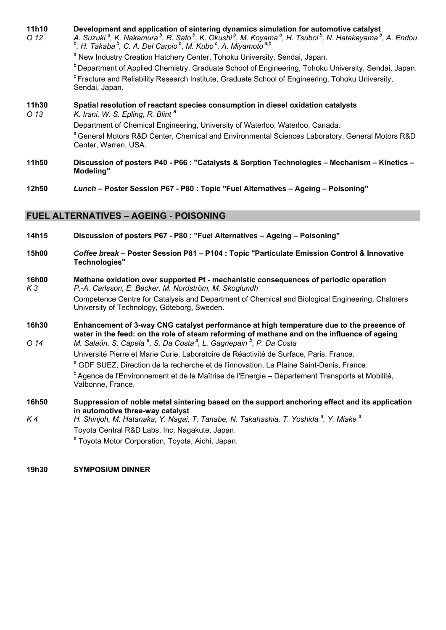| 11h10<br>O <sub>12</sub>        | Development and application of sintering dynamics simulation for automotive catalyst<br>A. Suzuki <sup>a</sup> , K. Nakamura <sup>b</sup> , R. Sato <sup>b</sup> , K. Okushi <sup>b</sup> , M. Koyama <sup>b</sup> , H. Tsuboi <sup>b</sup> , N. Hatakeyama <sup>b</sup> , A. Endou<br>$^{b}$ , H. Takaba $^{b}$ , C. A. Del Carpio $^{b}$ , M. Kubo <sup>c</sup> , A. Miyamoto <sup>a,b</sup> |
|---------------------------------|------------------------------------------------------------------------------------------------------------------------------------------------------------------------------------------------------------------------------------------------------------------------------------------------------------------------------------------------------------------------------------------------|
|                                 | <sup>a</sup> New Industry Creation Hatchery Center, Tohoku University, Sendai, Japan.                                                                                                                                                                                                                                                                                                          |
|                                 | <sup>b</sup> Department of Applied Chemistry, Graduate School of Engineering, Tohoku University, Sendai, Japan.                                                                                                                                                                                                                                                                                |
|                                 | <sup>c</sup> Fracture and Reliability Research Institute, Graduate School of Engineering, Tohoku University,<br>Sendai, Japan.                                                                                                                                                                                                                                                                 |
| <b>11h30</b><br>O <sub>13</sub> | Spatial resolution of reactant species consumption in diesel oxidation catalysts<br>K. Irani, W. S. Epling, R. Blint <sup>a</sup>                                                                                                                                                                                                                                                              |
|                                 | Department of Chemical Engineering, University of Waterloo, Waterloo, Canada.                                                                                                                                                                                                                                                                                                                  |
|                                 | <sup>a</sup> General Motors R&D Center, Chemical and Environmental Sciences Laboratory, General Motors R&D<br>Center, Warren, USA.                                                                                                                                                                                                                                                             |
| 11h50                           | Discussion of posters P40 - P66 : "Catalysts & Sorption Technologies - Mechanism - Kinetics -<br>Modeling"                                                                                                                                                                                                                                                                                     |

**12h50** *Lunch* **– Poster Session P67 - P80 : Topic "Fuel Alternatives – Ageing – Poisoning"** 

#### **FUEL ALTERNATIVES – AGEING - POISONING**

- **14h15 Discussion of posters P67 P80 : "Fuel Alternatives Ageing Poisoning"**
- **15h00** *Coffee break* **Poster Session P81 P104 : Topic "Particulate Emission Control & Innovative Technologies"**
- **16h00 Methane oxidation over supported Pt mechanistic consequences of periodic operation**  *K 3 P.-A. Carlsson, E. Becker, M. Nordström, M. Skoglundh*  Competence Centre for Catalysis and Department of Chemical and Biological Engineering, Chalmers University of Technology, Göteborg, Sweden.
- **16h30 Enhancement of 3-way CNG catalyst performance at high temperature due to the presence of water in the feed: on the role of steam reforming of methane and on the influence of ageing**
- *O 14 M. Salaün, S. Capela <sup>a</sup> , S. Da Costa a, L. Gagnepain b , P. Da Costa*  Université Pierre et Marie Curie, Laboratoire de Réactivité de Surface, Paris, France. <sup>a</sup> GDF SUEZ, Direction de la recherche et de l'innovation, La Plaine Saint-Denis, France.

<sup>b</sup> Agence de l'Environnement et de la Maîtrise de l'Energie – Département Transports et Mobilité, Valbonne, France.

- **16h50 Suppression of noble metal sintering based on the support anchoring effect and its application in automotive three-way catalyst**
- *K 4 H. Shinjoh, M. Hatanaka, Y. Nagai, T. Tanabe, N. Takahashia, T. Yoshida <sup>a</sup> , Y. Miake a* Toyota Central R&D Labs, Inc, Nagakute, Japan.

<sup>a</sup> Toyota Motor Corporation, Toyota, Aichi, Japan.

#### **19h30 SYMPOSIUM DINNER**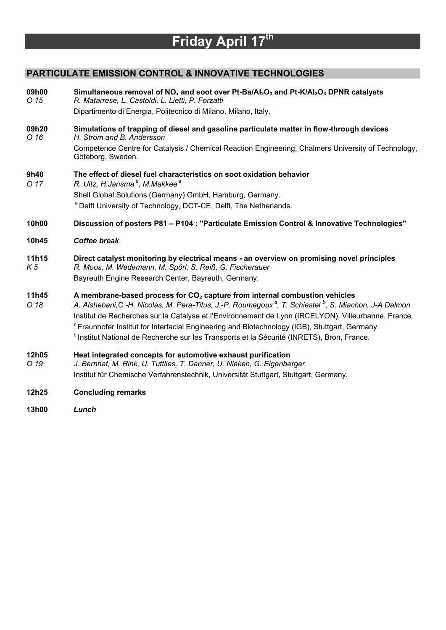# **Friday April 17th**

## **PARTICULATE EMISSION CONTROL & INNOVATIVE TECHNOLOGIES**

| 09h00<br>O 15           | Simultaneous removal of NO <sub>x</sub> and soot over Pt-Ba/Al <sub>2</sub> O <sub>3</sub> and Pt-K/Al <sub>2</sub> O <sub>3</sub> DPNR catalysts<br>R. Matarrese, L. Castoldi, L. Lietti, P. Forzatti                                                                                                                                                                                                                                                                                                                                               |
|-------------------------|------------------------------------------------------------------------------------------------------------------------------------------------------------------------------------------------------------------------------------------------------------------------------------------------------------------------------------------------------------------------------------------------------------------------------------------------------------------------------------------------------------------------------------------------------|
|                         | Dipartimento di Energia, Politecnico di Milano, Milano, Italy.                                                                                                                                                                                                                                                                                                                                                                                                                                                                                       |
| 09h20<br>O 16           | Simulations of trapping of diesel and gasoline particulate matter in flow-through devices<br>H. Ström and B. Andersson                                                                                                                                                                                                                                                                                                                                                                                                                               |
|                         | Competence Centre for Catalysis / Chemical Reaction Engineering, Chalmers University of Technology,<br>Göteborg, Sweden.                                                                                                                                                                                                                                                                                                                                                                                                                             |
| 9h40<br>O 17            | The effect of diesel fuel characteristics on soot oxidation behavior<br>R. Uitz, H.Jansma <sup>a</sup> , M.Makkee <sup>a</sup>                                                                                                                                                                                                                                                                                                                                                                                                                       |
|                         | Shell Global Solutions (Germany) GmbH, Hamburg, Germany.                                                                                                                                                                                                                                                                                                                                                                                                                                                                                             |
|                         | <sup>a</sup> Delft University of Technology, DCT-CE, Delft, The Netherlands.                                                                                                                                                                                                                                                                                                                                                                                                                                                                         |
| 10h00                   | Discussion of posters P81 - P104 : "Particulate Emission Control & Innovative Technologies"                                                                                                                                                                                                                                                                                                                                                                                                                                                          |
| 10h45                   | <b>Coffee break</b>                                                                                                                                                                                                                                                                                                                                                                                                                                                                                                                                  |
| 11h15<br>K <sub>5</sub> | Direct catalyst monitoring by electrical means - an overview on promising novel principles<br>R. Moos, M. Wedemann, M. Spörl, S. Reiß, G. Fischerauer<br>Bayreuth Engine Research Center, Bayreuth, Germany.                                                                                                                                                                                                                                                                                                                                         |
| 11h45<br>O 18           | A membrane-based process for CO <sub>2</sub> capture from internal combustion vehicles<br>A. Alshebani, C.-H. Nicolas, M. Pera-Titus, J.-P. Roumegoux <sup>a</sup> , T. Schiestel <sup>b</sup> , S. Miachon, J-A Dalmon<br>Institut de Recherches sur la Catalyse et l'Environnement de Lyon (IRCELYON), Villeurbanne, France.<br><sup>a</sup> Fraunhofer Institut for Interfacial Engineering and Biotechnology (IGB), Stuttgart, Germany.<br><sup>b</sup> Institut National de Recherche sur les Transports et la Sécurité (INRETS), Bron, France. |
| 12h05<br>O 19           | Heat integrated concepts for automotive exhaust purification<br>J. Bernnat, M. Rink, U. Tuttlies, T. Danner, U. Nieken, G. Eigenberger<br>Institut für Chemische Verfahrenstechnik, Universität Stuttgart, Stuttgart, Germany.                                                                                                                                                                                                                                                                                                                       |
| 12h25                   | <b>Concluding remarks</b>                                                                                                                                                                                                                                                                                                                                                                                                                                                                                                                            |
| 13h00                   | Lunch                                                                                                                                                                                                                                                                                                                                                                                                                                                                                                                                                |
|                         |                                                                                                                                                                                                                                                                                                                                                                                                                                                                                                                                                      |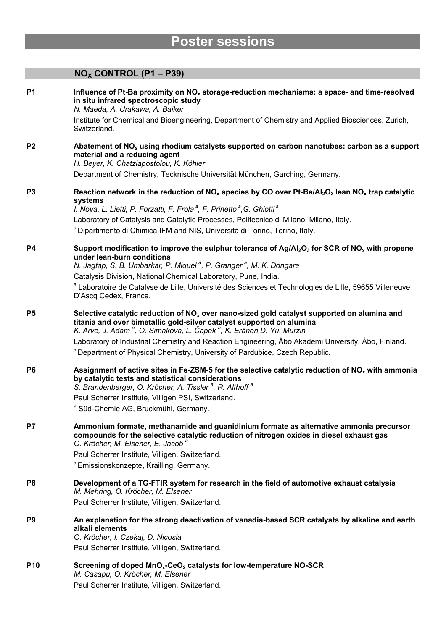# **Poster sessions**

## **NOX CONTROL (P1 – P39)**

| <b>P1</b>      | Influence of Pt-Ba proximity on $NOx$ storage-reduction mechanisms: a space- and time-resolved<br>in situ infrared spectroscopic study<br>N. Maeda, A. Urakawa, A. Baiker                                                                                               |
|----------------|-------------------------------------------------------------------------------------------------------------------------------------------------------------------------------------------------------------------------------------------------------------------------|
|                | Institute for Chemical and Bioengineering, Department of Chemistry and Applied Biosciences, Zurich,<br>Switzerland.                                                                                                                                                     |
| P <sub>2</sub> | Abatement of NO <sub>x</sub> using rhodium catalysts supported on carbon nanotubes: carbon as a support<br>material and a reducing agent<br>H. Beyer, K. Chatziapostolou, K. Köhler                                                                                     |
|                | Department of Chemistry, Tecknische Universität München, Garching, Germany.                                                                                                                                                                                             |
| P <sub>3</sub> | Reaction network in the reduction of $NO_x$ species by CO over Pt-Ba/Al <sub>2</sub> O <sub>3</sub> lean NO <sub>x</sub> trap catalytic<br>systems                                                                                                                      |
|                | I. Nova, L. Lietti, P. Forzatti, F. Frola <sup>ª</sup> , F. Prinetto <sup>ª</sup> , G. Ghiotti <sup>ª</sup>                                                                                                                                                             |
|                | Laboratory of Catalysis and Catalytic Processes, Politecnico di Milano, Milano, Italy.                                                                                                                                                                                  |
|                | a Dipartimento di Chimica IFM and NIS, Università di Torino, Torino, Italy.                                                                                                                                                                                             |
| <b>P4</b>      | Support modification to improve the sulphur tolerance of $Ag/AI_2O_3$ for SCR of NO <sub>x</sub> with propene<br>under lean-burn conditions<br>N. Jagtap, S. B. Umbarkar, P. Miquel <sup>a</sup> , P. Granger <sup>a</sup> , M. K. Dongare                              |
|                | Catalysis Division, National Chemical Laboratory, Pune, India.                                                                                                                                                                                                          |
|                | a Laboratoire de Catalyse de Lille, Université des Sciences et Technologies de Lille, 59655 Villeneuve<br>D'Ascq Cedex, France.                                                                                                                                         |
| P <sub>5</sub> | Selective catalytic reduction of $NOx$ over nano-sized gold catalyst supported on alumina and<br>titania and over bimetallic gold-silver catalyst supported on alumina<br>K. Arve, J. Adam <sup>a</sup> , O. Simakova, L. Čapek <sup>a</sup> , K. Eränen, D. Yu. Murzin |
|                | Laboratory of Industrial Chemistry and Reaction Engineering, Åbo Akademi University, Åbo, Finland.                                                                                                                                                                      |
|                | <sup>a</sup> Department of Physical Chemistry, University of Pardubice, Czech Republic.                                                                                                                                                                                 |
| P <sub>6</sub> | Assignment of active sites in Fe-ZSM-5 for the selective catalytic reduction of $NOx$ with ammonia<br>by catalytic tests and statistical considerations<br>S. Brandenberger, O. Kröcher, A. Tissler <sup>a</sup> , R. Althoff <sup>a</sup>                              |
|                | Paul Scherrer Institute, Villigen PSI, Switzerland.                                                                                                                                                                                                                     |
|                | <sup>a</sup> Süd-Chemie AG, Bruckmühl, Germany.                                                                                                                                                                                                                         |
| P7             | Ammonium formate, methanamide and guanidinium formate as alternative ammonia precursor<br>compounds for the selective catalytic reduction of nitrogen oxides in diesel exhaust gas<br>O. Kröcher, M. Elsener, E. Jacob <sup>a</sup>                                     |
|                | Paul Scherrer Institute, Villigen, Switzerland.                                                                                                                                                                                                                         |
|                | <sup>a</sup> Emissionskonzepte, Krailling, Germany.                                                                                                                                                                                                                     |
| P8             | Development of a TG-FTIR system for research in the field of automotive exhaust catalysis<br>M. Mehring, O. Kröcher, M. Elsener                                                                                                                                         |
|                | Paul Scherrer Institute, Villigen, Switzerland.                                                                                                                                                                                                                         |
| P <sub>9</sub> | An explanation for the strong deactivation of vanadia-based SCR catalysts by alkaline and earth<br>alkali elements<br>O. Kröcher, I. Czekaj, D. Nicosia                                                                                                                 |
|                | Paul Scherrer Institute, Villigen, Switzerland.                                                                                                                                                                                                                         |
| <b>P10</b>     | Screening of doped MnO <sub>x</sub> -CeO <sub>2</sub> catalysts for low-temperature NO-SCR<br>M. Casapu, O. Kröcher, M. Elsener                                                                                                                                         |
|                | Paul Scherrer Institute, Villigen, Switzerland.                                                                                                                                                                                                                         |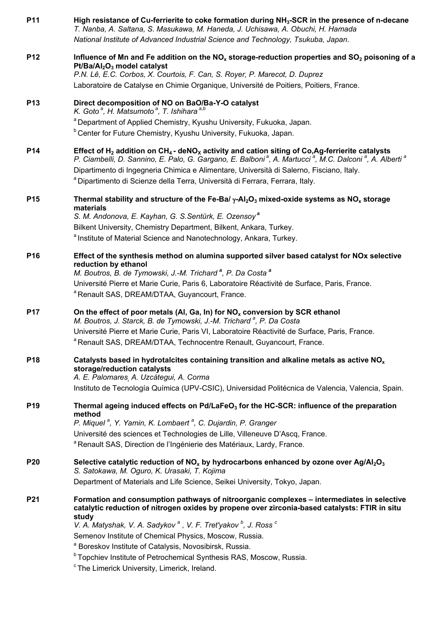| P11             | High resistance of Cu-ferrierite to coke formation during NH <sub>3</sub> -SCR in the presence of n-decane<br>T. Nanba, A. Saltana, S. Masukawa, M. Haneda, J. Uchisawa, A. Obuchi, H. Hamada                                                                                                                                                                                                                                                                     |
|-----------------|-------------------------------------------------------------------------------------------------------------------------------------------------------------------------------------------------------------------------------------------------------------------------------------------------------------------------------------------------------------------------------------------------------------------------------------------------------------------|
|                 | National Institute of Advanced Industrial Science and Technology, Tsukuba, Japan.                                                                                                                                                                                                                                                                                                                                                                                 |
| P <sub>12</sub> | Influence of Mn and Fe addition on the $NOx$ storage-reduction properties and SO <sub>2</sub> poisoning of a<br>Pt/Ba/Al <sub>2</sub> O <sub>3</sub> model catalyst                                                                                                                                                                                                                                                                                               |
|                 | P.N. Lê, E.C. Corbos, X. Courtois, F. Can, S. Royer, P. Marecot, D. Duprez                                                                                                                                                                                                                                                                                                                                                                                        |
|                 | Laboratoire de Catalyse en Chimie Organique, Université de Poitiers, Poitiers, France.                                                                                                                                                                                                                                                                                                                                                                            |
| <b>P13</b>      | Direct decomposition of NO on BaO/Ba-Y-O catalyst<br>K. Goto <sup>a</sup> , H. Matsumoto <sup>a</sup> , T. Ishihara <sup>a,b</sup>                                                                                                                                                                                                                                                                                                                                |
|                 | <sup>a</sup> Department of Applied Chemistry, Kyushu University, Fukuoka, Japan.                                                                                                                                                                                                                                                                                                                                                                                  |
|                 | <sup>b</sup> Center for Future Chemistry, Kyushu University, Fukuoka, Japan.                                                                                                                                                                                                                                                                                                                                                                                      |
| <b>P14</b>      | Effect of $H_2$ addition on CH <sub>4</sub> - deNO <sub>X</sub> activity and cation siting of Co, Ag-ferrierite catalysts<br>P. Ciambelli, D. Sannino, E. Palo, G. Gargano, E. Balboni <sup>ª</sup> , A. Martucci <sup>ª</sup> , M.C. Dalconi <sup>ª</sup> , A. Alberti <sup>ª</sup><br>Dipartimento di Ingegneria Chimica e Alimentare, Università di Salerno, Fisciano, Italy.<br>a Dipartimento di Scienze della Terra, Università di Ferrara, Ferrara, Italy. |
| <b>P15</b>      | Thermal stability and structure of the Fe-Ba/ $\gamma$ -Al <sub>2</sub> O <sub>3</sub> mixed-oxide systems as NO <sub>x</sub> storage<br>materials                                                                                                                                                                                                                                                                                                                |
|                 | S. M. Andonova, E. Kayhan, G. S. Sentürk, E. Ozensoy <sup>a</sup>                                                                                                                                                                                                                                                                                                                                                                                                 |
|                 | Bilkent University, Chemistry Department, Bilkent, Ankara, Turkey.                                                                                                                                                                                                                                                                                                                                                                                                |
|                 | <sup>a</sup> Institute of Material Science and Nanotechnology, Ankara, Turkey.                                                                                                                                                                                                                                                                                                                                                                                    |
| <b>P16</b>      | Effect of the synthesis method on alumina supported silver based catalyst for NOx selective<br>reduction by ethanol                                                                                                                                                                                                                                                                                                                                               |
|                 | M. Boutros, B. de Tymowski, J.-M. Trichard <sup>a</sup> , P. Da Costa <sup>a</sup>                                                                                                                                                                                                                                                                                                                                                                                |
|                 | Université Pierre et Marie Curie, Paris 6, Laboratoire Réactivité de Surface, Paris, France.<br><sup>a</sup> Renault SAS, DREAM/DTAA, Guyancourt, France.                                                                                                                                                                                                                                                                                                         |
| <b>P17</b>      | On the effect of poor metals (AI, Ga, In) for $NOx$ conversion by SCR ethanol<br>M. Boutros, J. Starck, B. de Tymowski, J.-M. Trichard <sup>a</sup> , P. Da Costa                                                                                                                                                                                                                                                                                                 |
|                 | Université Pierre et Marie Curie, Paris VI, Laboratoire Réactivité de Surface, Paris, France.                                                                                                                                                                                                                                                                                                                                                                     |
|                 | <sup>a</sup> Renault SAS, DREAM/DTAA, Technocentre Renault, Guyancourt, France.                                                                                                                                                                                                                                                                                                                                                                                   |
| P <sub>18</sub> | Catalysts based in hydrotalcites containing transition and alkaline metals as active $NOx$<br>storage/reduction catalysts<br>A. E. Palomares, A. Uzcátegui, A. Corma                                                                                                                                                                                                                                                                                              |
|                 | Instituto de Tecnología Química (UPV-CSIC), Universidad Politécnica de Valencia, Valencia, Spain.                                                                                                                                                                                                                                                                                                                                                                 |
|                 |                                                                                                                                                                                                                                                                                                                                                                                                                                                                   |
| P <sub>19</sub> | Thermal ageing induced effects on Pd/LaFeO <sub>3</sub> for the HC-SCR: influence of the preparation<br>method<br>P. Miquel <sup>a</sup> , Y. Yamin, K. Lombaert <sup>a</sup> , C. Dujardin, P. Granger                                                                                                                                                                                                                                                           |
|                 | Université des sciences et Technologies de Lille, Villeneuve D'Ascq, France.                                                                                                                                                                                                                                                                                                                                                                                      |
|                 | <sup>a</sup> Renault SAS, Direction de l'Ingénierie des Matériaux, Lardy, France.                                                                                                                                                                                                                                                                                                                                                                                 |
| <b>P20</b>      | Selective catalytic reduction of NO <sub>x</sub> by hydrocarbons enhanced by ozone over Ag/Al <sub>2</sub> O <sub>3</sub><br>S. Satokawa, M. Oguro, K. Urasaki, T. Kojima                                                                                                                                                                                                                                                                                         |
|                 | Department of Materials and Life Science, Seikei University, Tokyo, Japan.                                                                                                                                                                                                                                                                                                                                                                                        |
| <b>P21</b>      | Formation and consumption pathways of nitroorganic complexes - intermediates in selective<br>catalytic reduction of nitrogen oxides by propene over zirconia-based catalysts: FTIR in situ                                                                                                                                                                                                                                                                        |
|                 | study<br>V. A. Matyshak, V. A. Sadykov <sup>a</sup> , V. F. Tret'yakov <sup>b</sup> , J. Ross <sup>c</sup>                                                                                                                                                                                                                                                                                                                                                        |
|                 | Semenov Institute of Chemical Physics, Moscow, Russia.                                                                                                                                                                                                                                                                                                                                                                                                            |
|                 | <sup>a</sup> Boreskov Institute of Catalysis, Novosibirsk, Russia.                                                                                                                                                                                                                                                                                                                                                                                                |
|                 | <sup>b</sup> Topchiev Institute of Petrochemical Synthesis RAS, Moscow, Russia.                                                                                                                                                                                                                                                                                                                                                                                   |
|                 | <sup>c</sup> The Limerick University, Limerick, Ireland.                                                                                                                                                                                                                                                                                                                                                                                                          |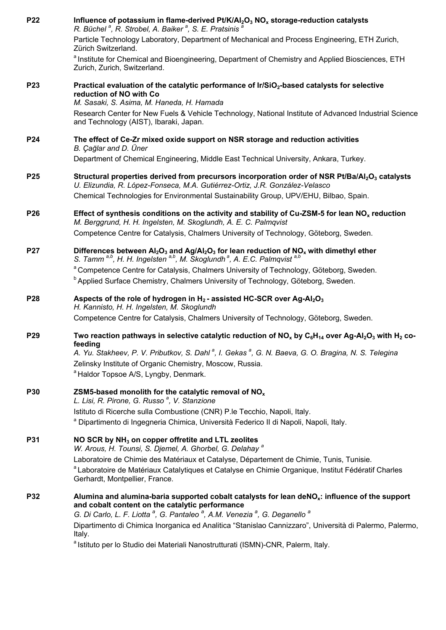| P22             | Influence of potassium in flame-derived Pt/K/Al <sub>2</sub> O <sub>3</sub> NO <sub>x</sub> storage-reduction catalysts<br>R. Büchel <sup>a</sup> , R. Strobel, A. Baiker <sup>a</sup> , S. E. Pratsinis <sup>4</sup>                                                                      |
|-----------------|--------------------------------------------------------------------------------------------------------------------------------------------------------------------------------------------------------------------------------------------------------------------------------------------|
|                 | Particle Technology Laboratory, Department of Mechanical and Process Engineering, ETH Zurich,<br>Zürich Switzerland.                                                                                                                                                                       |
|                 | a Institute for Chemical and Bioengineering, Department of Chemistry and Applied Biosciences, ETH<br>Zurich, Zurich, Switzerland.                                                                                                                                                          |
| <b>P23</b>      | Practical evaluation of the catalytic performance of Ir/SiO <sub>2</sub> -based catalysts for selective<br>reduction of NO with Co<br>M. Sasaki, S. Asima, M. Haneda, H. Hamada                                                                                                            |
|                 | Research Center for New Fuels & Vehicle Technology, National Institute of Advanced Industrial Science<br>and Technology (AIST), Ibaraki, Japan.                                                                                                                                            |
| P24             | The effect of Ce-Zr mixed oxide support on NSR storage and reduction activities<br>B. Çağlar and D. Üner                                                                                                                                                                                   |
|                 | Department of Chemical Engineering, Middle East Technical University, Ankara, Turkey.                                                                                                                                                                                                      |
| P <sub>25</sub> | Structural properties derived from precursors incorporation order of NSR Pt/Ba/Al <sub>2</sub> O <sub>3</sub> catalysts<br>U. Elizundia, R. López-Fonseca, M.A. Gutiérrez-Ortiz, J.R. González-Velasco                                                                                     |
|                 | Chemical Technologies for Environmental Sustainability Group, UPV/EHU, Bilbao, Spain.                                                                                                                                                                                                      |
| P <sub>26</sub> | Effect of synthesis conditions on the activity and stability of Cu-ZSM-5 for lean $NOx$ reduction<br>M. Berggrund, H. H. Ingelsten, M. Skoglundh, A. E. C. Palmqvist                                                                                                                       |
|                 | Competence Centre for Catalysis, Chalmers University of Technology, Göteborg, Sweden.                                                                                                                                                                                                      |
| <b>P27</b>      | Differences between $Al_2O_3$ and $Ag/Al_2O_3$ for lean reduction of NO <sub>x</sub> with dimethyl ether<br>S. Tamm <sup>a,b</sup> , H. H. Ingelsten <sup>a,b</sup> , M. Skoglundh <sup>a</sup> , A. E.C. Palmqvist <sup>a,b</sup>                                                         |
|                 | <sup>a</sup> Competence Centre for Catalysis, Chalmers University of Technology, Göteborg, Sweden.                                                                                                                                                                                         |
|                 | <sup>b</sup> Applied Surface Chemistry, Chalmers University of Technology, Göteborg, Sweden.                                                                                                                                                                                               |
| P <sub>28</sub> | Aspects of the role of hydrogen in $H_2$ -assisted HC-SCR over Ag-Al <sub>2</sub> O <sub>3</sub><br>H. Kannisto, H. H. Ingelsten, M. Skoglundh                                                                                                                                             |
|                 | Competence Centre for Catalysis, Chalmers University of Technology, Göteborg, Sweden.                                                                                                                                                                                                      |
| P <sub>29</sub> | Two reaction pathways in selective catalytic reduction of NO <sub>x</sub> by C <sub>6</sub> H <sub>14</sub> over Ag-Al <sub>2</sub> O <sub>3</sub> with H <sub>2</sub> co-<br>feeding                                                                                                      |
|                 | A. Yu. Stakheev, P. V. Pributkov, S. Dahl <sup>a</sup> , I. Gekas <sup>a</sup> , G. N. Baeva, G. O. Bragina, N. S. Telegina                                                                                                                                                                |
|                 | Zelinsky Institute of Organic Chemistry, Moscow, Russia.<br><sup>a</sup> Haldor Topsoe A/S, Lyngby, Denmark.                                                                                                                                                                               |
| P30             | ZSM5-based monolith for the catalytic removal of $NOx$<br>L. Lisi, R. Pirone, G. Russo <sup>a</sup> , V. Stanzione                                                                                                                                                                         |
|                 | Istituto di Ricerche sulla Combustione (CNR) P.le Tecchio, Napoli, Italy.                                                                                                                                                                                                                  |
|                 | a Dipartimento di Ingegneria Chimica, Università Federico II di Napoli, Napoli, Italy.                                                                                                                                                                                                     |
| P31             | NO SCR by NH <sub>3</sub> on copper offretite and LTL zeolites<br>W. Arous, H. Tounsi, S. Djemel, A. Ghorbel, G. Delahay <sup>a</sup>                                                                                                                                                      |
|                 | Laboratoire de Chimie des Matériaux et Catalyse, Département de Chimie, Tunis, Tunisie.                                                                                                                                                                                                    |
|                 | a Laboratoire de Matériaux Catalytiques et Catalyse en Chimie Organique, Institut Fédératif Charles<br>Gerhardt, Montpellier, France.                                                                                                                                                      |
| <b>P32</b>      | Alumina and alumina-baria supported cobalt catalysts for lean deNO <sub>x</sub> : influence of the support<br>and cobalt content on the catalytic performance<br>G. Di Carlo, L. F. Liotta <sup>a</sup> , G. Pantaleo <sup>a</sup> , A.M. Venezia <sup>a</sup> , G. Deganello <sup>a</sup> |
|                 | Dipartimento di Chimica Inorganica ed Analitica "Stanislao Cannizzaro", Università di Palermo, Palermo,<br>Italy.                                                                                                                                                                          |
|                 | <sup>a</sup> Istituto per lo Studio dei Materiali Nanostrutturati (ISMN)-CNR, Palerm, Italy.                                                                                                                                                                                               |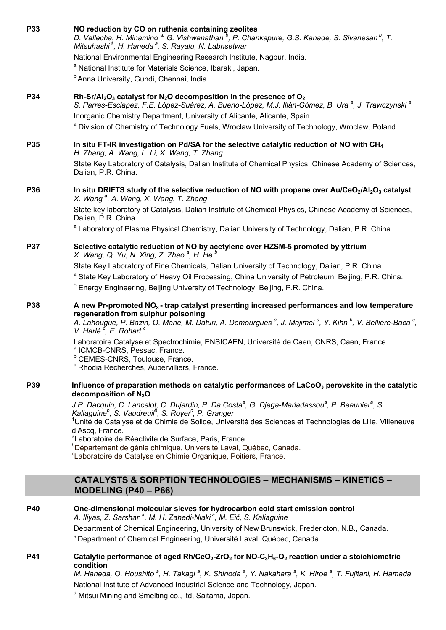| <b>P33</b> | NO reduction by CO on ruthenia containing zeolites<br>D. Vallecha, H. Minamino <sup>a,</sup> G. Vishwanathan <sup>b</sup> , P. Chankapure, G.S. Kanade, S. Sivanesan <sup>b</sup> , T.<br>Mitsuhashi <sup>a</sup> , H. Haneda <sup>a</sup> , S. Rayalu, N. Labhsetwar<br>National Environmental Engineering Research Institute, Nagpur, India.<br><sup>a</sup> National Institute for Materials Science, Ibaraki, Japan.<br><sup>b</sup> Anna University, Gundi, Chennai, India.                                                                                                                                                                                                                                                                           |
|------------|------------------------------------------------------------------------------------------------------------------------------------------------------------------------------------------------------------------------------------------------------------------------------------------------------------------------------------------------------------------------------------------------------------------------------------------------------------------------------------------------------------------------------------------------------------------------------------------------------------------------------------------------------------------------------------------------------------------------------------------------------------|
| P34        | Rh-Sr/Al <sub>2</sub> O <sub>3</sub> catalyst for N <sub>2</sub> O decomposition in the presence of O <sub>2</sub><br>S. Parres-Esclapez, F.E. López-Suárez, A. Bueno-López, M.J. Illán-Gómez, B. Ura <sup>a</sup> , J. Trawczynski <sup>a</sup><br>Inorganic Chemistry Department, University of Alicante, Alicante, Spain.<br><sup>a</sup> Division of Chemistry of Technology Fuels, Wroclaw University of Technology, Wroclaw, Poland.                                                                                                                                                                                                                                                                                                                 |
| P35        | In situ FT-IR investigation on Pd/SA for the selective catalytic reduction of NO with $CH_4$<br>H. Zhang, A. Wang, L. Li, X. Wang, T. Zhang<br>State Key Laboratory of Catalysis, Dalian Institute of Chemical Physics, Chinese Academy of Sciences,<br>Dalian, P.R. China.                                                                                                                                                                                                                                                                                                                                                                                                                                                                                |
| <b>P36</b> | In situ DRIFTS study of the selective reduction of NO with propene over Au/CeO <sub>2</sub> /Al <sub>2</sub> O <sub>3</sub> catalyst<br>X. Wang <sup>a</sup> , A. Wang, X. Wang, T. Zhang<br>State key laboratory of Catalysis, Dalian Institute of Chemical Physics, Chinese Academy of Sciences,<br>Dalian, P.R. China.<br><sup>a</sup> Laboratory of Plasma Physical Chemistry, Dalian University of Technology, Dalian, P.R. China.                                                                                                                                                                                                                                                                                                                    |
| P37        | Selective catalytic reduction of NO by acetylene over HZSM-5 promoted by yttrium<br>X. Wang, Q. Yu, N. Xing, Z. Zhao <sup>a</sup> , H. He <sup>b</sup><br>State Key Laboratory of Fine Chemicals, Dalian University of Technology, Dalian, P.R. China.<br>a State Key Laboratory of Heavy Oil Processing, China University of Petroleum, Beijing, P.R. China.<br><sup>b</sup> Energy Engineering, Beijing University of Technology, Beijing, P.R. China.                                                                                                                                                                                                                                                                                                   |
| <b>P38</b> | A new Pr-promoted $NOx$ - trap catalyst presenting increased performances and low temperature<br>regeneration from sulphur poisoning<br>A. Lahougue, P. Bazin, O. Marie, M. Daturi, A. Demourgues <sup>a</sup> , J. Majimel <sup>a</sup> , Y. Kihn <sup>b</sup> , V. Bellière-Baca <sup>c</sup> ,<br>V. Harlé <sup>c</sup> , E. Rohart <sup>c</sup><br>Laboratoire Catalyse et Spectrochimie, ENSICAEN, Université de Caen, CNRS, Caen, France.<br><sup>a</sup> ICMCB-CNRS, Pessac, France.<br><sup>b</sup> CEMES-CNRS, Toulouse, France.<br><sup>c</sup> Rhodia Recherches, Aubervilliers, France.                                                                                                                                                        |
| <b>P39</b> | Influence of preparation methods on catalytic performances of LaCoO <sub>3</sub> perovskite in the catalytic<br>decomposition of $N_2O$<br>J.P. Dacquin, C. Lancelot, C. Dujardin, P. Da Costa <sup>a</sup> , G. Djega-Mariadassou <sup>a</sup> , P. Beaunier <sup>a</sup> , S.<br>Kaliaguine <sup>b</sup> , S. Vaudreuil <sup>b</sup> , S. Royer <sup>c</sup> , P. Granger<br><sup>1</sup> Unité de Catalyse et de Chimie de Solide, Université des Sciences et Technologies de Lille, Villeneuve<br>d'Ascq, France.<br><sup>a</sup> Laboratoire de Réactivité de Surface, Paris, France.<br><sup>b</sup> Département de génie chimique, Université Laval, Québec, Canada.<br><sup>c</sup> Laboratoire de Catalyse en Chimie Organique, Poitiers, France. |
|            | <b>CATALYSTS &amp; SORPTION TECHNOLOGIES - MECHANISMS - KINETICS -</b><br>MODELING $(P40 - P66)$                                                                                                                                                                                                                                                                                                                                                                                                                                                                                                                                                                                                                                                           |
| <b>P40</b> | One-dimensional molecular sieves for hydrocarbon cold start emission control<br>A. Iliyas, Z. Sarshar <sup>a</sup> , M. H. Zahedi-Niaki <sup>a</sup> , M. Eić, S. Kaliaguine<br>Department of Chemical Engineering, University of New Brunswick, Fredericton, N.B., Canada.<br>a Department of Chemical Engineering, Université Laval, Québec, Canada.                                                                                                                                                                                                                                                                                                                                                                                                     |
| <b>P41</b> | Catalytic performance of aged $Rh/CeO2-ZrO2$ for NO-C <sub>3</sub> H <sub>6</sub> -O <sub>2</sub> reaction under a stoichiometric<br>condition<br>M. Haneda, O. Houshito <sup>a</sup> , H. Takagi <sup>a</sup> , K. Shinoda <sup>a</sup> , Y. Nakahara <sup>a</sup> , K. Hiroe <sup>a</sup> , T. Fujitani, H. Hamada<br>National Institute of Advanced Industrial Science and Technology, Japan.<br><sup>a</sup> Mitsui Mining and Smelting co., Itd, Saitama, Japan.                                                                                                                                                                                                                                                                                      |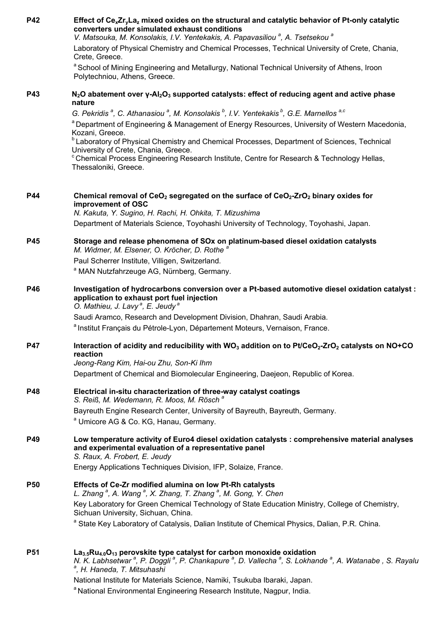| <b>P42</b> | Effect of $Ce_xZr_vLa_z$ mixed oxides on the structural and catalytic behavior of Pt-only catalytic<br>converters under simulated exhaust conditions<br>V. Matsouka, M. Konsolakis, I.V. Yentekakis, A. Papavasiliou <sup>a</sup> , A. Tsetsekou <sup>a</sup>              |
|------------|----------------------------------------------------------------------------------------------------------------------------------------------------------------------------------------------------------------------------------------------------------------------------|
|            | Laboratory of Physical Chemistry and Chemical Processes, Technical University of Crete, Chania,<br>Crete, Greece.                                                                                                                                                          |
|            | <sup>a</sup> School of Mining Engineering and Metallurgy, National Technical University of Athens, Iroon<br>Polytechniou, Athens, Greece.                                                                                                                                  |
| <b>P43</b> | N <sub>2</sub> O abatement over $\gamma$ -Al <sub>2</sub> O <sub>3</sub> supported catalysts: effect of reducing agent and active phase<br>nature                                                                                                                          |
|            | G. Pekridis <sup>a</sup> , C. Athanasiou <sup>a</sup> , M. Konsolakis <sup>b</sup> , I.V. Yentekakis <sup>b</sup> , G.E. Marnellos <sup>a,c</sup>                                                                                                                          |
|            | <sup>a</sup> Department of Engineering & Management of Energy Resources, University of Western Macedonia,<br>Kozani, Greece.                                                                                                                                               |
|            | <sup>b</sup> Laboratory of Physical Chemistry and Chemical Processes, Department of Sciences, Technical<br>University of Crete, Chania, Greece.                                                                                                                            |
|            | <sup>c</sup> Chemical Process Engineering Research Institute, Centre for Research & Technology Hellas,<br>Thessaloniki, Greece.                                                                                                                                            |
| <b>P44</b> | Chemical removal of CeO <sub>2</sub> segregated on the surface of CeO <sub>2</sub> -ZrO <sub>2</sub> binary oxides for                                                                                                                                                     |
|            | improvement of OSC<br>N. Kakuta, Y. Sugino, H. Rachi, H. Ohkita, T. Mizushima                                                                                                                                                                                              |
|            | Department of Materials Science, Toyohashi University of Technology, Toyohashi, Japan.                                                                                                                                                                                     |
| <b>P45</b> | Storage and release phenomena of SOx on platinum-based diesel oxidation catalysts<br>M. Widmer, M. Elsener, O. Kröcher, D. Rothe <sup>a</sup>                                                                                                                              |
|            | Paul Scherrer Institute, Villigen, Switzerland.                                                                                                                                                                                                                            |
|            | <sup>a</sup> MAN Nutzfahrzeuge AG, Nürnberg, Germany.                                                                                                                                                                                                                      |
| <b>P46</b> | Investigation of hydrocarbons conversion over a Pt-based automotive diesel oxidation catalyst :<br>application to exhaust port fuel injection<br>O. Mathieu, J. Lavy <sup>a</sup> , E. Jeudy <sup>a</sup>                                                                  |
|            | Saudi Aramco, Research and Development Division, Dhahran, Saudi Arabia.                                                                                                                                                                                                    |
|            | a Institut Français du Pétrole-Lyon, Département Moteurs, Vernaison, France.                                                                                                                                                                                               |
| <b>P47</b> | Interaction of acidity and reducibility with WO <sub>3</sub> addition on to Pt/CeO <sub>2</sub> -ZrO <sub>2</sub> catalysts on NO+CO<br>reaction                                                                                                                           |
|            | Jeong-Rang Kim, Hai-ou Zhu, Son-Ki Ihm<br>Department of Chemical and Biomolecular Engineering, Daejeon, Republic of Korea.                                                                                                                                                 |
|            |                                                                                                                                                                                                                                                                            |
| <b>P48</b> | Electrical in-situ characterization of three-way catalyst coatings<br>S. Reiß, M. Wedemann, R. Moos, M. Rösch <sup>a</sup>                                                                                                                                                 |
|            | Bayreuth Engine Research Center, University of Bayreuth, Bayreuth, Germany.<br><sup>a</sup> Umicore AG & Co. KG, Hanau, Germany.                                                                                                                                           |
| <b>P49</b> | Low temperature activity of Euro4 diesel oxidation catalysts : comprehensive material analyses<br>and experimental evaluation of a representative panel<br>S. Raux, A. Frobert, E. Jeudy                                                                                   |
|            | Energy Applications Techniques Division, IFP, Solaize, France.                                                                                                                                                                                                             |
| <b>P50</b> | Effects of Ce-Zr modified alumina on low Pt-Rh catalysts<br>L. Zhang <sup>a</sup> , A. Wang <sup>a</sup> , X. Zhang, T. Zhang <sup>a</sup> , M. Gong, Y. Chen                                                                                                              |
|            | Key Laboratory for Green Chemical Technology of State Education Ministry, College of Chemistry,<br>Sichuan University, Sichuan, China.                                                                                                                                     |
|            | <sup>a</sup> State Key Laboratory of Catalysis, Dalian Institute of Chemical Physics, Dalian, P.R. China.                                                                                                                                                                  |
| <b>P51</b> | $\text{La}_{3.5}\text{Ru}_{4.0}\text{O}_{13}$ perovskite type catalyst for carbon monoxide oxidation<br>N. K. Labhsetwar <sup>a</sup> , P. Doggli <sup>a</sup> , P. Chankapure <sup>a</sup> , D. Vallecha <sup>a</sup> , S. Lokhande <sup>a</sup> , A. Watanabe, S. Rayalu |
|            | ª, H. Haneda, T. Mitsuhashi                                                                                                                                                                                                                                                |
|            | National Institute for Materials Science, Namiki, Tsukuba Ibaraki, Japan.                                                                                                                                                                                                  |
|            | <sup>a</sup> National Environmental Engineering Research Institute, Nagpur, India.                                                                                                                                                                                         |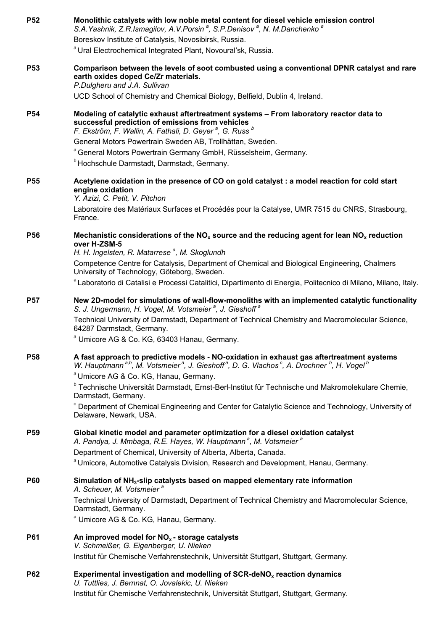| <b>P52</b> | Monolithic catalysts with low noble metal content for diesel vehicle emission control<br>S.A. Yashnik, Z.R. Ismagilov, A.V. Porsin <sup>a</sup> , S.P. Denisov <sup>a</sup> , N. M. Danchenko <sup>a</sup><br>Boreskov Institute of Catalysis, Novosibirsk, Russia. |
|------------|---------------------------------------------------------------------------------------------------------------------------------------------------------------------------------------------------------------------------------------------------------------------|
|            | <sup>a</sup> Ural Electrochemical Integrated Plant, Novoural'sk, Russia.                                                                                                                                                                                            |
| <b>P53</b> | Comparison between the levels of soot combusted using a conventional DPNR catalyst and rare<br>earth oxides doped Ce/Zr materials.<br>P.Dulgheru and J.A. Sullivan                                                                                                  |
|            | UCD School of Chemistry and Chemical Biology, Belfield, Dublin 4, Ireland.                                                                                                                                                                                          |
| <b>P54</b> | Modeling of catalytic exhaust aftertreatment systems - From laboratory reactor data to<br>successful prediction of emissions from vehicles<br>F. Ekström, F. Wallin, A. Fathali, D. Geyer <sup>a</sup> , G. Russ <sup>b</sup>                                       |
|            | General Motors Powertrain Sweden AB, Trollhättan, Sweden.                                                                                                                                                                                                           |
|            | <sup>a</sup> General Motors Powertrain Germany GmbH, Rüsselsheim, Germany.<br><sup>b</sup> Hochschule Darmstadt, Darmstadt, Germany.                                                                                                                                |
| <b>P55</b> | Acetylene oxidation in the presence of CO on gold catalyst : a model reaction for cold start<br>engine oxidation<br>Y. Azizi, C. Petit, V. Pitchon                                                                                                                  |
|            | Laboratoire des Matériaux Surfaces et Procédés pour la Catalyse, UMR 7515 du CNRS, Strasbourg,<br>France.                                                                                                                                                           |
| <b>P56</b> | Mechanistic considerations of the $NO_x$ source and the reducing agent for lean $NO_x$ reduction<br>over H-ZSM-5<br>H. H. Ingelsten, R. Matarrese <sup>a</sup> , M. Skoglundh                                                                                       |
|            | Competence Centre for Catalysis, Department of Chemical and Biological Engineering, Chalmers<br>University of Technology, Göteborg, Sweden.                                                                                                                         |
|            | a Laboratorio di Catalisi e Processi Catalitici, Dipartimento di Energia, Politecnico di Milano, Milano, Italy.                                                                                                                                                     |
| <b>P57</b> | New 2D-model for simulations of wall-flow-monoliths with an implemented catalytic functionality<br>S. J. Ungermann, H. Vogel, M. Votsmeier <sup>a</sup> , J. Gieshoff <sup>a</sup>                                                                                  |
|            | Technical University of Darmstadt, Department of Technical Chemistry and Macromolecular Science,<br>64287 Darmstadt, Germany.                                                                                                                                       |
|            | <sup>a</sup> Umicore AG & Co. KG, 63403 Hanau, Germany.                                                                                                                                                                                                             |
| <b>P58</b> | A fast approach to predictive models - NO-oxidation in exhaust gas aftertreatment systems<br>W. Hauptmann <sup>a,b</sup> , M. Votsmeier <sup>a</sup> , J. Gieshoff <sup>a</sup> , D. G. Vlachos <sup>c</sup> , A. Drochner <sup>b</sup> , H. Vogel <sup>b</sup>     |
|            | <sup>a</sup> Umicore AG & Co. KG, Hanau, Germany.<br><sup>b</sup> Technische Universität Darmstadt, Ernst-Berl-Institut für Technische und Makromolekulare Chemie,                                                                                                  |
|            | Darmstadt, Germany.                                                                                                                                                                                                                                                 |
|            | <sup>c</sup> Department of Chemical Engineering and Center for Catalytic Science and Technology, University of<br>Delaware, Newark, USA.                                                                                                                            |
| <b>P59</b> | Global kinetic model and parameter optimization for a diesel oxidation catalyst<br>A. Pandya, J. Mmbaga, R.E. Hayes, W. Hauptmann <sup>a</sup> , M. Votsmeier <sup>a</sup>                                                                                          |
|            | Department of Chemical, University of Alberta, Alberta, Canada.                                                                                                                                                                                                     |
|            | <sup>a</sup> Umicore, Automotive Catalysis Division, Research and Development, Hanau, Germany.                                                                                                                                                                      |
| <b>P60</b> | Simulation of NH <sub>3</sub> -slip catalysts based on mapped elementary rate information<br>A. Scheuer, M. Votsmeier <sup>a</sup>                                                                                                                                  |
|            | Technical University of Darmstadt, Department of Technical Chemistry and Macromolecular Science,<br>Darmstadt, Germany.<br><sup>a</sup> Umicore AG & Co. KG, Hanau, Germany.                                                                                        |
| <b>P61</b> | An improved model for $NOx$ - storage catalysts                                                                                                                                                                                                                     |
|            | V. Schmeißer, G. Eigenberger, U. Nieken                                                                                                                                                                                                                             |
|            | Institut für Chemische Verfahrenstechnik, Universität Stuttgart, Stuttgart, Germany.                                                                                                                                                                                |
| <b>P62</b> | Experimental investigation and modelling of SCR-deNO $x$ reaction dynamics<br>U. Tuttlies, J. Bernnat, O. Jovalekic, U. Nieken<br>Institut für Chemische Verfahrenstechnik, Universität Stuttgart, Stuttgart, Germany.                                              |
|            |                                                                                                                                                                                                                                                                     |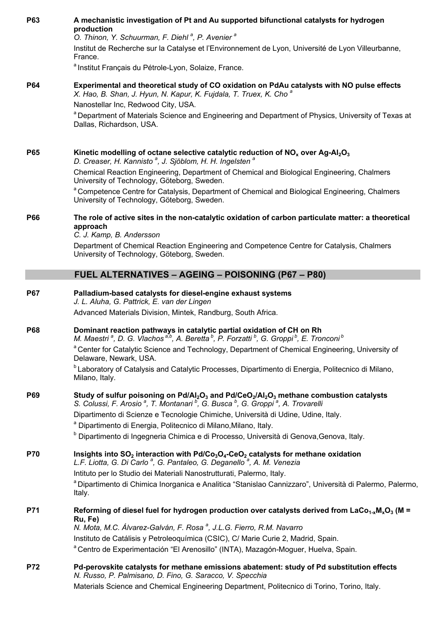| P63        | A mechanistic investigation of Pt and Au supported bifunctional catalysts for hydrogen<br>production<br>O. Thinon, Y. Schuurman, F. Diehl <sup>a</sup> , P. Avenier <sup>a</sup><br>Institut de Recherche sur la Catalyse et l'Environnement de Lyon, Université de Lyon Villeurbanne,<br>France. |
|------------|---------------------------------------------------------------------------------------------------------------------------------------------------------------------------------------------------------------------------------------------------------------------------------------------------|
|            | a Institut Français du Pétrole-Lyon, Solaize, France.                                                                                                                                                                                                                                             |
| <b>P64</b> | Experimental and theoretical study of CO oxidation on PdAu catalysts with NO pulse effects<br>X. Hao, B. Shan, J. Hyun, N. Kapur, K. Fujdala, T. Truex, K. Cho <sup>a</sup><br>Nanostellar Inc, Redwood City, USA.                                                                                |
|            | <sup>a</sup> Department of Materials Science and Engineering and Department of Physics, University of Texas at<br>Dallas, Richardson, USA.                                                                                                                                                        |
| P65        | Kinetic modelling of octane selective catalytic reduction of $NOx$ over Ag-Al <sub>2</sub> O <sub>3</sub><br>D. Creaser, H. Kannisto <sup>a</sup> , J. Sjöblom, H. H. Ingelsten <sup>a</sup>                                                                                                      |
|            | Chemical Reaction Engineering, Department of Chemical and Biological Engineering, Chalmers<br>University of Technology, Göteborg, Sweden.                                                                                                                                                         |
|            | <sup>a</sup> Competence Centre for Catalysis, Department of Chemical and Biological Engineering, Chalmers<br>University of Technology, Göteborg, Sweden.                                                                                                                                          |
| <b>P66</b> | The role of active sites in the non-catalytic oxidation of carbon particulate matter: a theoretical<br>approach<br>C. J. Kamp, B. Andersson                                                                                                                                                       |
|            | Department of Chemical Reaction Engineering and Competence Centre for Catalysis, Chalmers<br>University of Technology, Göteborg, Sweden.                                                                                                                                                          |
|            | <b>FUEL ALTERNATIVES - AGEING - POISONING (P67 - P80)</b>                                                                                                                                                                                                                                         |
| <b>P67</b> | Palladium-based catalysts for diesel-engine exhaust systems<br>J. L. Aluha, G. Pattrick, E. van der Lingen                                                                                                                                                                                        |
|            | Advanced Materials Division, Mintek, Randburg, South Africa.                                                                                                                                                                                                                                      |
| <b>P68</b> | Dominant reaction pathways in catalytic partial oxidation of CH on Rh<br>M. Maestri <sup>a</sup> , D. G. Vlachos <sup>a,b</sup> , A. Beretta <sup>b</sup> , P. Forzatti <sup>b</sup> , G. Groppi <sup>b</sup> , E. Tronconi <sup>b</sup>                                                          |
|            | <sup>a</sup> Center for Catalytic Science and Technology, Department of Chemical Engineering, University of<br>Delaware, Newark, USA.                                                                                                                                                             |
|            | <sup>b</sup> Laboratory of Catalysis and Catalytic Processes, Dipartimento di Energia, Politecnico di Milano,<br>Milano, Italy.                                                                                                                                                                   |
| P69        | Study of sulfur poisoning on Pd/Al <sub>2</sub> O <sub>3</sub> and Pd/CeO <sub>2</sub> /Al <sub>2</sub> O <sub>3</sub> methane combustion catalysts<br>S. Colussi, F. Arosio <sup>a</sup> , T. Montanari <sup>b</sup> , G. Busca <sup>b</sup> , G. Groppi <sup>a</sup> , A. Trovarelli            |
|            | Dipartimento di Scienze e Tecnologie Chimiche, Università di Udine, Udine, Italy.<br><sup>a</sup> Dipartimento di Energia, Politecnico di Milano, Milano, Italy.                                                                                                                                  |
|            | <sup>b</sup> Dipartimento di Ingegneria Chimica e di Processo, Università di Genova, Genova, Italy.                                                                                                                                                                                               |
| P70        | Insights into SO <sub>2</sub> interaction with Pd/Co <sub>3</sub> O <sub>4</sub> -CeO <sub>2</sub> catalysts for methane oxidation<br>L.F. Liotta, G. Di Carlo <sup>a</sup> , G. Pantaleo, G. Deganello <sup>a</sup> , A. M. Venezia                                                              |
|            | Intituto per lo Studio dei Materiali Nanostrutturati, Palermo, Italy.<br>a Dipartimento di Chimica Inorganica e Analitica "Stanislao Cannizzaro", Università di Palermo, Palermo,<br>Italy.                                                                                                       |
| P71        | Reforming of diesel fuel for hydrogen production over catalysts derived from LaCo <sub>1-x</sub> M <sub>x</sub> O <sub>3</sub> (M =<br>Ru, Fe)                                                                                                                                                    |
|            | N. Mota, M.C. Álvarez-Galván, F. Rosa <sup>ª</sup> , J.L.G. Fierro, R.M. Navarro<br>Instituto de Catálisis y Petroleoquímica (CSIC), C/ Marie Curie 2, Madrid, Spain.                                                                                                                             |
|            | a Centro de Experimentación "El Arenosillo" (INTA), Mazagón-Moguer, Huelva, Spain.                                                                                                                                                                                                                |
| P72        | Pd-perovskite catalysts for methane emissions abatement: study of Pd substitution effects<br>N. Russo, P. Palmisano, D. Fino, G. Saracco, V. Specchia<br>Materials Science and Chemical Engineering Department, Politecnico di Torino, Torino, Italy.                                             |
|            |                                                                                                                                                                                                                                                                                                   |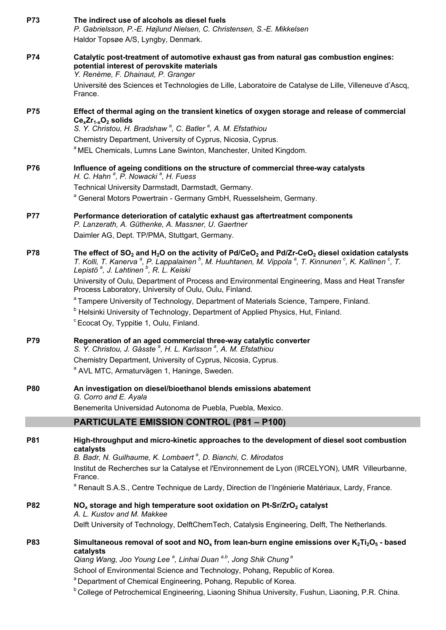| P73        | The indirect use of alcohols as diesel fuels<br>P. Gabrielsson, P.-E. Højlund Nielsen, C. Christensen, S.-E. Mikkelsen                                                                                                                                                                                                                                                                  |
|------------|-----------------------------------------------------------------------------------------------------------------------------------------------------------------------------------------------------------------------------------------------------------------------------------------------------------------------------------------------------------------------------------------|
|            | Haldor Topsøe A/S, Lyngby, Denmark.                                                                                                                                                                                                                                                                                                                                                     |
| P74        | Catalytic post-treatment of automotive exhaust gas from natural gas combustion engines:<br>potential interest of perovskite materials<br>Y. Renème, F. Dhainaut, P. Granger                                                                                                                                                                                                             |
|            | Université des Sciences et Technologies de Lille, Laboratoire de Catalyse de Lille, Villeneuve d'Ascq,<br>France.                                                                                                                                                                                                                                                                       |
| <b>P75</b> | Effect of thermal aging on the transient kinetics of oxygen storage and release of commercial<br>$Ce_{x}Zr_{1-x}O_{2}$ solids<br>S. Y. Christou, H. Bradshaw <sup>a</sup> , C. Batler <sup>a</sup> , A. M. Efstathiou                                                                                                                                                                   |
|            | Chemistry Department, University of Cyprus, Nicosia, Cyprus.                                                                                                                                                                                                                                                                                                                            |
|            | <sup>a</sup> MEL Chemicals, Lumns Lane Swinton, Manchester, United Kingdom.                                                                                                                                                                                                                                                                                                             |
| <b>P76</b> | Influence of ageing conditions on the structure of commercial three-way catalysts<br>H. C. Hahn <sup>a</sup> , P. Nowacki <sup>a</sup> , H. Fuess                                                                                                                                                                                                                                       |
|            | Technical University Darmstadt, Darmstadt, Germany.                                                                                                                                                                                                                                                                                                                                     |
|            | <sup>a</sup> General Motors Powertrain - Germany GmbH, Ruesselsheim, Germany.                                                                                                                                                                                                                                                                                                           |
| <b>P77</b> | Performance deterioration of catalytic exhaust gas aftertreatment components<br>P. Lanzerath, A. Güthenke, A. Massner, U. Gaertner                                                                                                                                                                                                                                                      |
|            | Daimler AG, Dept. TP/PMA, Stuttgart, Germany.                                                                                                                                                                                                                                                                                                                                           |
| <b>P78</b> | The effect of SO <sub>2</sub> and H <sub>2</sub> O on the activity of Pd/CeO <sub>2</sub> and Pd/Zr-CeO <sub>2</sub> diesel oxidation catalysts<br>T. Kolli, T. Kanerva <sup>a</sup> , P. Lappalainen <sup>b</sup> , M. Huuhtanen, M. Vippola <sup>a</sup> , T. Kinnunen <sup>c</sup> , K. Kallinen <sup>c</sup> , T.<br>Lepistö <sup>a</sup> , J. Lahtinen <sup>b</sup> , R. L. Keiski |
|            | University of Oulu, Department of Process and Environmental Engineering, Mass and Heat Transfer<br>Process Laboratory, University of Oulu, Oulu, Finland.                                                                                                                                                                                                                               |
|            | <sup>a</sup> Tampere University of Technology, Department of Materials Science, Tampere, Finland.<br><sup>b</sup> Helsinki University of Technology, Department of Applied Physics, Hut, Finland.<br><sup>c</sup> Ecocat Oy, Typpitie 1, Oulu, Finland.                                                                                                                                 |
| P79        | Regeneration of an aged commercial three-way catalytic converter<br>S. Y. Christou, J. Gåsste <sup>a</sup> , H. L. Karlsson <sup>a</sup> , A. M. Efstathiou                                                                                                                                                                                                                             |
|            | Chemistry Department, University of Cyprus, Nicosia, Cyprus.<br><sup>a</sup> AVL MTC, Armaturvägen 1, Haninge, Sweden.                                                                                                                                                                                                                                                                  |
| <b>P80</b> | An investigation on diesel/bioethanol blends emissions abatement<br>G. Corro and E. Ayala                                                                                                                                                                                                                                                                                               |
|            | Benemerita Universidad Autonoma de Puebla, Puebla, Mexico.                                                                                                                                                                                                                                                                                                                              |
|            | <b>PARTICULATE EMISSION CONTROL (P81 - P100)</b>                                                                                                                                                                                                                                                                                                                                        |
| <b>P81</b> | High-throughput and micro-kinetic approaches to the development of diesel soot combustion<br>catalysts                                                                                                                                                                                                                                                                                  |
|            | B. Badr, N. Guilhaume, K. Lombaert <sup>a</sup> , D. Bianchi, C. Mirodatos<br>Institut de Recherches sur la Catalyse et l'Environnement de Lyon (IRCELYON), UMR Villeurbanne,                                                                                                                                                                                                           |
|            | France.                                                                                                                                                                                                                                                                                                                                                                                 |
|            | <sup>a</sup> Renault S.A.S., Centre Technique de Lardy, Direction de l'Ingénierie Matériaux, Lardy, France.                                                                                                                                                                                                                                                                             |
| <b>P82</b> | $NOx$ storage and high temperature soot oxidation on Pt-Sr/ZrO <sub>2</sub> catalyst<br>A. L. Kustov and M. Makkee                                                                                                                                                                                                                                                                      |
|            | Delft University of Technology, DelftChemTech, Catalysis Engineering, Delft, The Netherlands.                                                                                                                                                                                                                                                                                           |
| <b>P83</b> | Simultaneous removal of soot and $NO_x$ from lean-burn engine emissions over $K_2Ti_2O_5$ - based<br>catalysts                                                                                                                                                                                                                                                                          |
|            | Qiang Wang, Joo Young Lee <sup>a</sup> , Linhai Duan <sup>a,b</sup> , Jong Shik Chung <sup>a</sup><br>School of Environmental Science and Technology, Pohang, Republic of Korea.<br><sup>a</sup> Department of Chemical Engineering, Pohang, Republic of Korea.                                                                                                                         |
|            | <sup>b</sup> College of Petrochemical Engineering, Liaoning Shihua University, Fushun, Liaoning, P.R. China.                                                                                                                                                                                                                                                                            |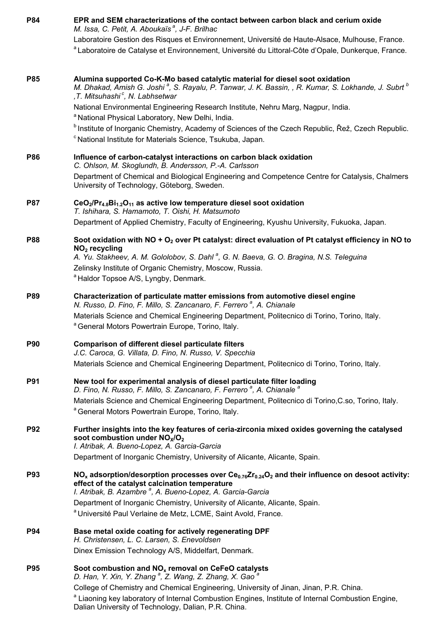| P84        | EPR and SEM characterizations of the contact between carbon black and cerium oxide<br>M. Issa, C. Petit, A. Aboukaïs <sup>a</sup> , J-F. Brilhac                                                                                                           |  |
|------------|------------------------------------------------------------------------------------------------------------------------------------------------------------------------------------------------------------------------------------------------------------|--|
|            | Laboratoire Gestion des Risques et Environnement, Université de Haute-Alsace, Mulhouse, France.                                                                                                                                                            |  |
|            | a Laboratoire de Catalyse et Environnement, Université du Littoral-Côte d'Opale, Dunkerque, France.                                                                                                                                                        |  |
| <b>P85</b> | Alumina supported Co-K-Mo based catalytic material for diesel soot oxidation<br>M. Dhakad, Amish G. Joshi <sup>a</sup> , S. Rayalu, P. Tanwar, J. K. Bassin, , R. Kumar, S. Lokhande, J. Subrt <sup>b</sup><br>,T. Mitsuhashi <sup>c</sup> , N. Labhsetwar |  |
|            | National Environmental Engineering Research Institute, Nehru Marg, Nagpur, India.<br><sup>a</sup> National Physical Laboratory, New Delhi, India.                                                                                                          |  |
|            | <sup>b</sup> Institute of Inorganic Chemistry, Academy of Sciences of the Czech Republic, Řež, Czech Republic.                                                                                                                                             |  |
|            | <sup>c</sup> National Institute for Materials Science, Tsukuba, Japan.                                                                                                                                                                                     |  |
| <b>P86</b> | Influence of carbon-catalyst interactions on carbon black oxidation<br>C. Ohlson, M. Skoglundh, B. Andersson, P.-A. Carlsson                                                                                                                               |  |
|            | Department of Chemical and Biological Engineering and Competence Centre for Catalysis, Chalmers<br>University of Technology, Göteborg, Sweden.                                                                                                             |  |
| <b>P87</b> | CeO <sub>2</sub> /Pr <sub>4.8</sub> Bi <sub>1.2</sub> O <sub>11</sub> as active low temperature diesel soot oxidation<br>T. Ishihara, S. Hamamoto, T. Oishi, H. Matsumoto                                                                                  |  |
|            | Department of Applied Chemistry, Faculty of Engineering, Kyushu University, Fukuoka, Japan.                                                                                                                                                                |  |
| <b>P88</b> | Soot oxidation with $NO + O2$ over Pt catalyst: direct evaluation of Pt catalyst efficiency in NO to<br>NO <sub>2</sub> recycling                                                                                                                          |  |
|            | A. Yu. Stakheev, A. M. Gololobov, S. Dahl <sup>a</sup> , G. N. Baeva, G. O. Bragina, N.S. Teleguina<br>Zelinsky Institute of Organic Chemistry, Moscow, Russia.<br><sup>a</sup> Haldor Topsoe A/S, Lyngby, Denmark.                                        |  |
| <b>P89</b> | Characterization of particulate matter emissions from automotive diesel engine<br>N. Russo, D. Fino, F. Millo, S. Zancanaro, F. Ferrero <sup>a</sup> , A. Chianale                                                                                         |  |
|            | Materials Science and Chemical Engineering Department, Politecnico di Torino, Torino, Italy.<br><sup>a</sup> General Motors Powertrain Europe, Torino, Italy.                                                                                              |  |
| <b>P90</b> | Comparison of different diesel particulate filters                                                                                                                                                                                                         |  |
|            | J.C. Caroca, G. Villata, D. Fino, N. Russo, V. Specchia<br>Materials Science and Chemical Engineering Department, Politecnico di Torino, Torino, Italy.                                                                                                    |  |
| P91        | New tool for experimental analysis of diesel particulate filter loading<br>D. Fino, N. Russo, F. Millo, S. Zancanaro, F. Ferrero <sup>a</sup> , A. Chianale <sup>a</sup>                                                                                   |  |
|            | Materials Science and Chemical Engineering Department, Politecnico di Torino, C.so, Torino, Italy.                                                                                                                                                         |  |
|            | <sup>a</sup> General Motors Powertrain Europe, Torino, Italy.                                                                                                                                                                                              |  |
| <b>P92</b> | Further insights into the key features of ceria-zirconia mixed oxides governing the catalysed                                                                                                                                                              |  |
|            | soot combustion under $NOX/O2$<br>I. Atribak, A. Bueno-Lopez, A. Garcia-Garcia                                                                                                                                                                             |  |
|            | Department of Inorganic Chemistry, University of Alicante, Alicante, Spain.                                                                                                                                                                                |  |
| <b>P93</b> | $NOx$ adsorption/desorption processes over $Ce0.76Zr0.24O2$ and their influence on desoot activity:<br>effect of the catalyst calcination temperature                                                                                                      |  |
|            | I. Atribak, B. Azambre <sup>a</sup> , A. Bueno-Lopez, A. Garcia-Garcia                                                                                                                                                                                     |  |
|            | Department of Inorganic Chemistry, University of Alicante, Alicante, Spain.<br><sup>a</sup> Université Paul Verlaine de Metz, LCME, Saint Avold, France.                                                                                                   |  |
| <b>P94</b> | Base metal oxide coating for actively regenerating DPF<br>H. Christensen, L. C. Larsen, S. Enevoldsen                                                                                                                                                      |  |
|            | Dinex Emission Technology A/S, Middelfart, Denmark.                                                                                                                                                                                                        |  |
| <b>P95</b> | Soot combustion and $NOx$ removal on CeFeO catalysts<br>D. Han, Y. Xin, Y. Zhang <sup>a</sup> , Z. Wang, Z. Zhang, X. Gao <sup>a</sup>                                                                                                                     |  |
|            | College of Chemistry and Chemical Engineering, University of Jinan, Jinan, P.R. China.                                                                                                                                                                     |  |
|            | <sup>a</sup> Liaoning key laboratory of Internal Combustion Engines, Institute of Internal Combustion Engine,<br>Dalian University of Technology, Dalian, P.R. China.                                                                                      |  |